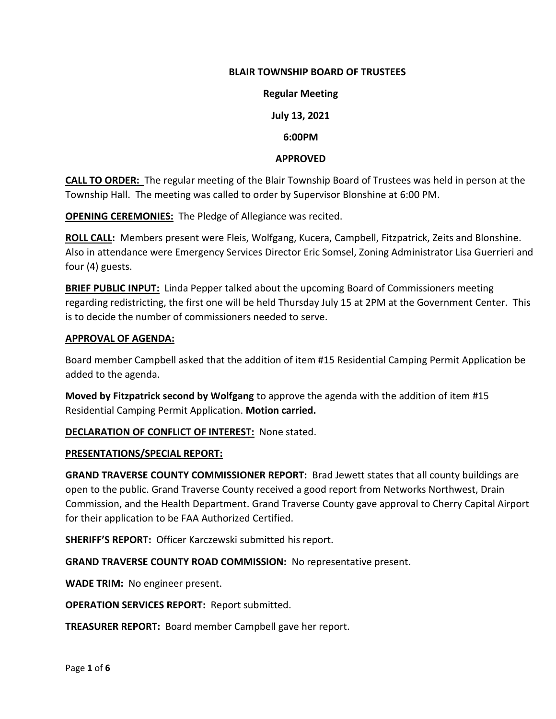#### **BLAIR TOWNSHIP BOARD OF TRUSTEES**

#### **Regular Meeting**

# **July 13, 2021**

## **6:00PM**

#### **APPROVED**

**CALL TO ORDER:** The regular meeting of the Blair Township Board of Trustees was held in person at the Township Hall. The meeting was called to order by Supervisor Blonshine at 6:00 PM.

**OPENING CEREMONIES:** The Pledge of Allegiance was recited.

**ROLL CALL:** Members present were Fleis, Wolfgang, Kucera, Campbell, Fitzpatrick, Zeits and Blonshine. Also in attendance were Emergency Services Director Eric Somsel, Zoning Administrator Lisa Guerrieri and four (4) guests.

**BRIEF PUBLIC INPUT:** Linda Pepper talked about the upcoming Board of Commissioners meeting regarding redistricting, the first one will be held Thursday July 15 at 2PM at the Government Center. This is to decide the number of commissioners needed to serve.

#### **APPROVAL OF AGENDA:**

Board member Campbell asked that the addition of item #15 Residential Camping Permit Application be added to the agenda.

**Moved by Fitzpatrick second by Wolfgang** to approve the agenda with the addition of item #15 Residential Camping Permit Application. **Motion carried.**

## **DECLARATION OF CONFLICT OF INTEREST:** None stated.

#### **PRESENTATIONS/SPECIAL REPORT:**

**GRAND TRAVERSE COUNTY COMMISSIONER REPORT:** Brad Jewett states that all county buildings are open to the public. Grand Traverse County received a good report from Networks Northwest, Drain Commission, and the Health Department. Grand Traverse County gave approval to Cherry Capital Airport for their application to be FAA Authorized Certified.

**SHERIFF'S REPORT:** Officer Karczewski submitted his report.

**GRAND TRAVERSE COUNTY ROAD COMMISSION:** No representative present.

**WADE TRIM:** No engineer present.

**OPERATION SERVICES REPORT:** Report submitted.

**TREASURER REPORT:** Board member Campbell gave her report.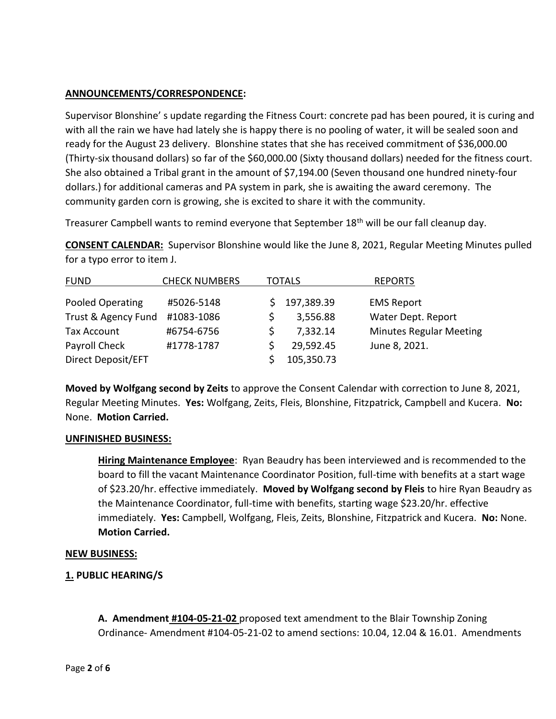# **ANNOUNCEMENTS/CORRESPONDENCE:**

Supervisor Blonshine' s update regarding the Fitness Court: concrete pad has been poured, it is curing and with all the rain we have had lately she is happy there is no pooling of water, it will be sealed soon and ready for the August 23 delivery. Blonshine states that she has received commitment of \$36,000.00 (Thirty-six thousand dollars) so far of the \$60,000.00 (Sixty thousand dollars) needed for the fitness court. She also obtained a Tribal grant in the amount of \$7,194.00 (Seven thousand one hundred ninety-four dollars.) for additional cameras and PA system in park, she is awaiting the award ceremony. The community garden corn is growing, she is excited to share it with the community.

Treasurer Campbell wants to remind everyone that September 18<sup>th</sup> will be our fall cleanup day.

**CONSENT CALENDAR:** Supervisor Blonshine would like the June 8, 2021, Regular Meeting Minutes pulled for a typo error to item J.

| <b>FUND</b>         | <b>CHECK NUMBERS</b> | <b>TOTALS</b> |            | <b>REPORTS</b>                 |
|---------------------|----------------------|---------------|------------|--------------------------------|
| Pooled Operating    | #5026-5148           |               | 197,389.39 | <b>EMS Report</b>              |
| Trust & Agency Fund | #1083-1086           |               | 3,556.88   | Water Dept. Report             |
| <b>Tax Account</b>  | #6754-6756           |               | 7,332.14   | <b>Minutes Regular Meeting</b> |
| Payroll Check       | #1778-1787           |               | 29,592.45  | June 8, 2021.                  |
| Direct Deposit/EFT  |                      |               | 105,350.73 |                                |

**Moved by Wolfgang second by Zeits** to approve the Consent Calendar with correction to June 8, 2021, Regular Meeting Minutes. **Yes:** Wolfgang, Zeits, Fleis, Blonshine, Fitzpatrick, Campbell and Kucera. **No:**  None. **Motion Carried.**

## **UNFINISHED BUSINESS:**

**Hiring Maintenance Employee**: Ryan Beaudry has been interviewed and is recommended to the board to fill the vacant Maintenance Coordinator Position, full-time with benefits at a start wage of \$23.20/hr. effective immediately. **Moved by Wolfgang second by Fleis** to hire Ryan Beaudry as the Maintenance Coordinator, full-time with benefits, starting wage \$23.20/hr. effective immediately. **Yes:** Campbell, Wolfgang, Fleis, Zeits, Blonshine, Fitzpatrick and Kucera. **No:** None. **Motion Carried.**

## **NEW BUSINESS:**

**1. PUBLIC HEARING/S**

**A. Amendment #104-05-21-02** proposed text amendment to the Blair Township Zoning Ordinance- Amendment #104-05-21-02 to amend sections: 10.04, 12.04 & 16.01. Amendments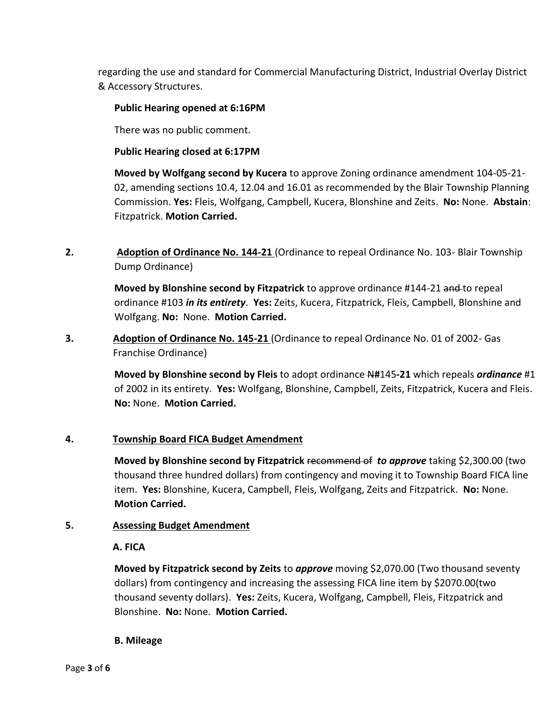regarding the use and standard for Commercial Manufacturing District, Industrial Overlay District & Accessory Structures.

## **Public Hearing opened at 6:16PM**

There was no public comment.

#### **Public Hearing closed at 6:17PM**

**Moved by Wolfgang second by Kucera** to approve Zoning ordinance amendment 104-05-21- 02, amending sections 10.4, 12.04 and 16.01 as recommended by the Blair Township Planning Commission. **Yes:** Fleis, Wolfgang, Campbell, Kucera, Blonshine and Zeits. **No:** None. **Abstain**: Fitzpatrick. **Motion Carried.**

**2. Adoption of Ordinance No. 144-21** (Ordinance to repeal Ordinance No. 103- Blair Township Dump Ordinance)

> **Moved by Blonshine second by Fitzpatrick** to approve ordinance #144-21 and to repeal ordinance #103 *in its entirety*. **Yes:** Zeits, Kucera, Fitzpatrick, Fleis, Campbell, Blonshine and Wolfgang. **No:** None. **Motion Carried.**

**3. Adoption of Ordinance No. 145-21** (Ordinance to repeal Ordinance No. 01 of 2002- Gas Franchise Ordinance)

> **Moved by Blonshine second by Fleis** to adopt ordinance N**#**145**-21** which repeals *ordinance* #1 of 2002 in its entirety. **Yes:** Wolfgang, Blonshine, Campbell, Zeits, Fitzpatrick, Kucera and Fleis. **No:** None. **Motion Carried.**

## **4. Township Board FICA Budget Amendment**

**Moved by Blonshine second by Fitzpatrick** recommend of *to approve* taking \$2,300.00 (two thousand three hundred dollars) from contingency and moving it to Township Board FICA line item. **Yes:** Blonshine, Kucera, Campbell, Fleis, Wolfgang, Zeits and Fitzpatrick. **No:** None. **Motion Carried.**

## **5. Assessing Budget Amendment**

## **A. FICA**

**Moved by Fitzpatrick second by Zeits** to *approve* moving \$2,070.00 (Two thousand seventy dollars) from contingency and increasing the assessing FICA line item by \$2070.00(two thousand seventy dollars). **Yes:** Zeits, Kucera, Wolfgang, Campbell, Fleis, Fitzpatrick and Blonshine. **No:** None. **Motion Carried.** 

## **B. Mileage**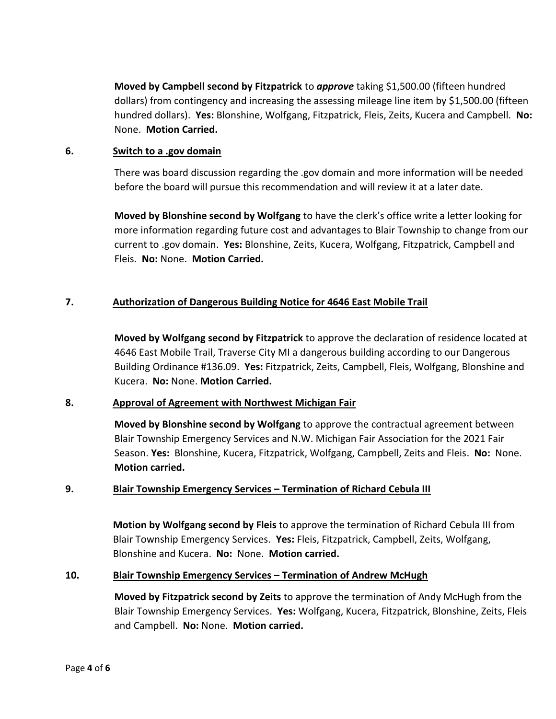**Moved by Campbell second by Fitzpatrick** to *approve* taking \$1,500.00 (fifteen hundred dollars) from contingency and increasing the assessing mileage line item by \$1,500.00 (fifteen hundred dollars). **Yes:** Blonshine, Wolfgang, Fitzpatrick, Fleis, Zeits, Kucera and Campbell. **No:**  None. **Motion Carried.**

#### **6. Switch to a .gov domain**

There was board discussion regarding the .gov domain and more information will be needed before the board will pursue this recommendation and will review it at a later date.

**Moved by Blonshine second by Wolfgang** to have the clerk's office write a letter looking for more information regarding future cost and advantages to Blair Township to change from our current to .gov domain. **Yes:** Blonshine, Zeits, Kucera, Wolfgang, Fitzpatrick, Campbell and Fleis. **No:** None. **Motion Carried.**

# **7. Authorization of Dangerous Building Notice for 4646 East Mobile Trail**

**Moved by Wolfgang second by Fitzpatrick** to approve the declaration of residence located at 4646 East Mobile Trail, Traverse City MI a dangerous building according to our Dangerous Building Ordinance #136.09. **Yes:** Fitzpatrick, Zeits, Campbell, Fleis, Wolfgang, Blonshine and Kucera. **No:** None. **Motion Carried.**

## **8. Approval of Agreement with Northwest Michigan Fair**

**Moved by Blonshine second by Wolfgang** to approve the contractual agreement between Blair Township Emergency Services and N.W. Michigan Fair Association for the 2021 Fair Season. **Yes:** Blonshine, Kucera, Fitzpatrick, Wolfgang, Campbell, Zeits and Fleis. **No:** None. **Motion carried.** 

## **9. Blair Township Emergency Services – Termination of Richard Cebula III**

**Motion by Wolfgang second by Fleis** to approve the termination of Richard Cebula III from Blair Township Emergency Services. **Yes:** Fleis, Fitzpatrick, Campbell, Zeits, Wolfgang, Blonshine and Kucera. **No:** None. **Motion carried.**

## **10. Blair Township Emergency Services – Termination of Andrew McHugh**

**Moved by Fitzpatrick second by Zeits** to approve the termination of Andy McHugh from the Blair Township Emergency Services. **Yes:** Wolfgang, Kucera, Fitzpatrick, Blonshine, Zeits, Fleis and Campbell. **No:** None. **Motion carried.**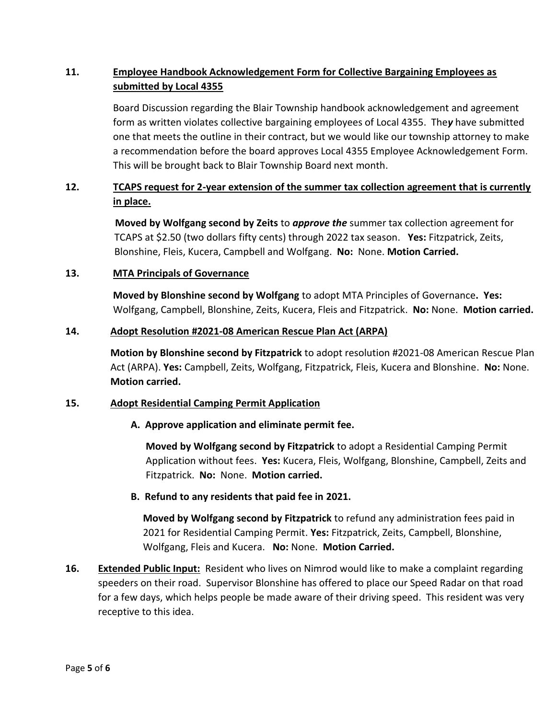# **11. Employee Handbook Acknowledgement Form for Collective Bargaining Employees as submitted by Local 4355**

Board Discussion regarding the Blair Township handbook acknowledgement and agreement form as written violates collective bargaining employees of Local 4355. The*y* have submitted one that meets the outline in their contract, but we would like our township attorney to make a recommendation before the board approves Local 4355 Employee Acknowledgement Form. This will be brought back to Blair Township Board next month.

# **12. TCAPS request for 2-year extension of the summer tax collection agreement that is currently in place.**

**Moved by Wolfgang second by Zeits** to *approve the* summer tax collection agreement for TCAPS at \$2.50 (two dollars fifty cents) through 2022 tax season. **Yes:** Fitzpatrick, Zeits, Blonshine, Fleis, Kucera, Campbell and Wolfgang. **No:** None. **Motion Carried.**

# **13. MTA Principals of Governance**

**Moved by Blonshine second by Wolfgang** to adopt MTA Principles of Governance**. Yes:**  Wolfgang, Campbell, Blonshine, Zeits, Kucera, Fleis and Fitzpatrick. **No:** None. **Motion carried.**

## **14. Adopt Resolution #2021-08 American Rescue Plan Act (ARPA)**

**Motion by Blonshine second by Fitzpatrick** to adopt resolution #2021-08 American Rescue Plan Act (ARPA). **Yes:** Campbell, Zeits, Wolfgang, Fitzpatrick, Fleis, Kucera and Blonshine. **No:** None. **Motion carried.**

## **15. Adopt Residential Camping Permit Application**

## **A. Approve application and eliminate permit fee.**

**Moved by Wolfgang second by Fitzpatrick** to adopt a Residential Camping Permit Application without fees. **Yes:** Kucera, Fleis, Wolfgang, Blonshine, Campbell, Zeits and Fitzpatrick. **No:** None. **Motion carried.**

## **B. Refund to any residents that paid fee in 2021.**

**Moved by Wolfgang second by Fitzpatrick** to refund any administration fees paid in 2021 for Residential Camping Permit. **Yes:** Fitzpatrick, Zeits, Campbell, Blonshine, Wolfgang, Fleis and Kucera. **No:** None. **Motion Carried.**

**16. Extended Public Input:** Resident who lives on Nimrod would like to make a complaint regarding speeders on their road. Supervisor Blonshine has offered to place our Speed Radar on that road for a few days, which helps people be made aware of their driving speed. This resident was very receptive to this idea.